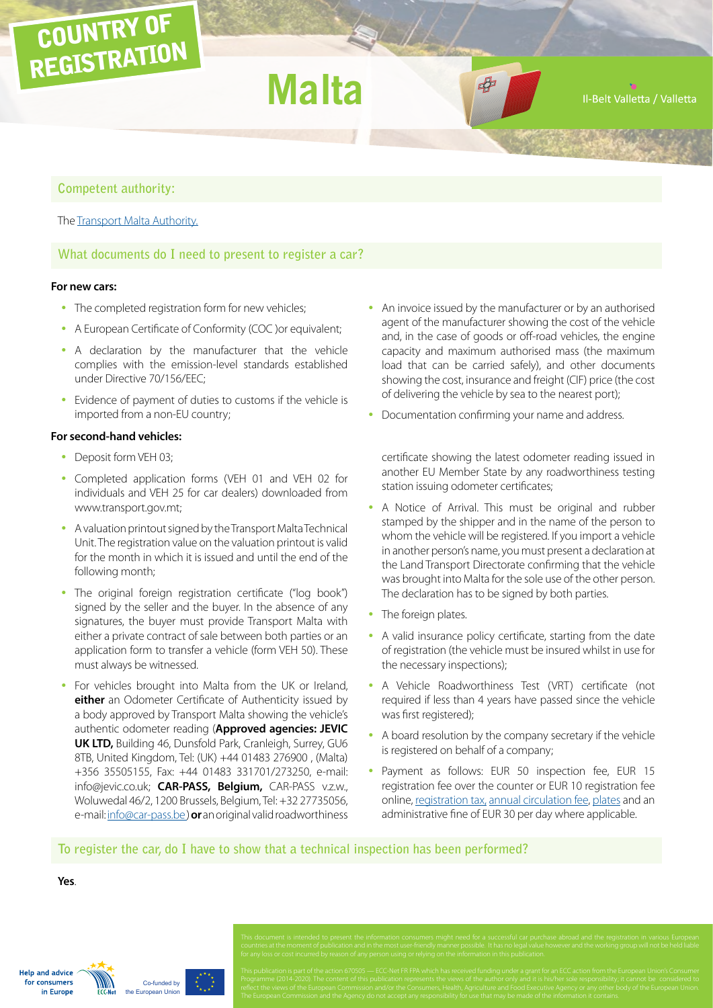# COUNTRY OF REGISTRATION

**Malta**

 $\blacksquare$ 

Il-Belt Valletta / Valletta

# **Competent authority:**

The [Transport Malta Authority.](http://www.transport.gov.mt/)

# **What documents do I need to present to register a car?**

### **For new cars:**

- The completed registration form for new vehicles;
- A European Certificate of Conformity (COC )or equivalent;
- A declaration by the manufacturer that the vehicle complies with the emission-level standards established under Directive 70/156/EEC;
- Evidence of payment of duties to customs if the vehicle is imported from a non-EU country;

#### **For second-hand vehicles:**

- Deposit form VEH 03;
- Completed application forms (VEH 01 and VEH 02 for individuals and VEH 25 for car dealers) downloaded from www.transport.gov.mt;
- A valuation printout signed by the Transport Malta Technical Unit. The registration value on the valuation printout is valid for the month in which it is issued and until the end of the following month;
- The original foreign registration certificate ("log book") signed by the seller and the buyer. In the absence of any signatures, the buyer must provide Transport Malta with either a private contract of sale between both parties or an application form to transfer a vehicle (form VEH 50). These must always be witnessed.
- For vehicles brought into Malta from the UK or Ireland, **either** an Odometer Certificate of Authenticity issued by a body approved by Transport Malta showing the vehicle's authentic odometer reading (**Approved agencies: JEVIC UK LTD,** Building 46, Dunsfold Park, Cranleigh, Surrey, GU6 8TB, United Kingdom, Tel: (UK) +44 01483 276900 , (Malta) +356 35505155, Fax: +44 01483 331701/273250, e-mail: info@jevic.co.uk; **CAR-PASS, Belgium,** CAR-PASS v.z.w., Woluwedal 46/2, 1200 Brussels, Belgium, Tel: +32 27735056, e-mail: [info@car-pass.be](mailto:info%40car-pass.be?subject=) ) **or** an original valid roadworthiness
- An invoice issued by the manufacturer or by an authorised agent of the manufacturer showing the cost of the vehicle and, in the case of goods or off-road vehicles, the engine capacity and maximum authorised mass (the maximum load that can be carried safely), and other documents showing the cost, insurance and freight (CIF) price (the cost of delivering the vehicle by sea to the nearest port);
- Documentation confirming your name and address.

certificate showing the latest odometer reading issued in another EU Member State by any roadworthiness testing station issuing odometer certificates;

- A Notice of Arrival. This must be original and rubber stamped by the shipper and in the name of the person to whom the vehicle will be registered. If you import a vehicle in another person's name, you must present a declaration at the Land Transport Directorate confirming that the vehicle was brought into Malta for the sole use of the other person. The declaration has to be signed by both parties.
- The foreign plates.
- A valid insurance policy certificate, starting from the date of registration (the vehicle must be insured whilst in use for the necessary inspections);
- A Vehicle Roadworthiness Test (VRT) certificate (not required if less than 4 years have passed since the vehicle was first registered);
- A board resolution by the company secretary if the vehicle is registered on behalf of a company;
- Payment as follows: EUR 50 inspection fee, EUR 15 registration fee over the counter or EUR 10 registration fee online, [registration tax,](http://www.valuation.vehicleregistration.gov.mt/motorVehicle.aspx) [annual circulation fee](http://www.transport.gov.mt/admin/uploads/media-library/files/POL%2033.pdf), [plates](http://www.transport.gov.mt/land-transport/vehicle-registration-and-licensing/number-plates) and an administrative fine of EUR 30 per day where applicable.

# **To register the car, do I have to show that a technical inspection has been performed?**

### **Yes**.